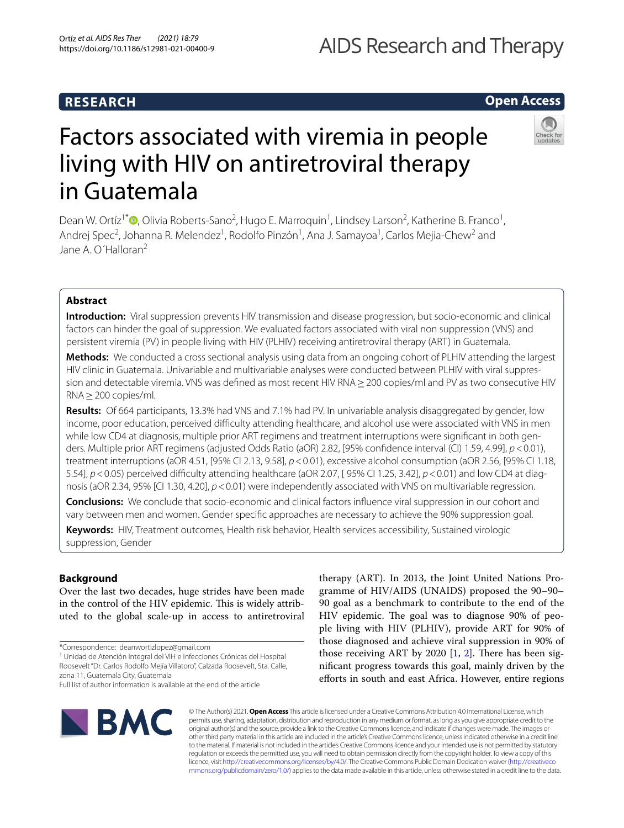# **RESEARCH**

# AIDS Research and Therapy

# **Open Access**



# Factors associated with viremia in people living with HIV on antiretroviral therapy in Guatemala

Dean W. Ortíz<sup>1[\\*](http://orcid.org/0000-0001-6895-3826)</sup><sup>®</sup>, Olivia Roberts-Sano<sup>2</sup>, Hugo E. Marroquin<sup>1</sup>, Lindsey Larson<sup>2</sup>, Katherine B. Franco<sup>1</sup>, Andrej Spec<sup>2</sup>, Johanna R. Melendez<sup>1</sup>, Rodolfo Pinzón<sup>1</sup>, Ana J. Samayoa<sup>1</sup>, Carlos Mejia-Chew<sup>2</sup> and Jane A. O'Halloran<sup>2</sup>

### **Abstract**

**Introduction:** Viral suppression prevents HIV transmission and disease progression, but socio-economic and clinical factors can hinder the goal of suppression. We evaluated factors associated with viral non suppression (VNS) and persistent viremia (PV) in people living with HIV (PLHIV) receiving antiretroviral therapy (ART) in Guatemala.

**Methods:** We conducted a cross sectional analysis using data from an ongoing cohort of PLHIV attending the largest HIV clinic in Guatemala. Univariable and multivariable analyses were conducted between PLHIV with viral suppression and detectable viremia. VNS was defned as most recent HIV RNA≥200 copies/ml and PV as two consecutive HIV RNA≥200 copies/ml.

**Results:** Of 664 participants, 13.3% had VNS and 7.1% had PV. In univariable analysis disaggregated by gender, low income, poor education, perceived difficulty attending healthcare, and alcohol use were associated with VNS in men while low CD4 at diagnosis, multiple prior ART regimens and treatment interruptions were significant in both genders. Multiple prior ART regimens (adjusted Odds Ratio (aOR) 2.82, [95% confdence interval (CI) 1.59, 4.99], *p*<0.01), treatment interruptions (aOR 4.51, [95% CI 2.13, 9.58], *p*<0.01), excessive alcohol consumption (aOR 2.56, [95% CI 1.18, 5.54],  $p$ <0.05) perceived difficulty attending healthcare (aOR 2.07, [95% CI 1.25, 3.42],  $p$ <0.01) and low CD4 at diagnosis (aOR 2.34, 95% [CI 1.30, 4.20],  $p < 0.01$ ) were independently associated with VNS on multivariable regression.

**Conclusions:** We conclude that socio-economic and clinical factors infuence viral suppression in our cohort and vary between men and women. Gender specifc approaches are necessary to achieve the 90% suppression goal.

**Keywords:** HIV, Treatment outcomes, Health risk behavior, Health services accessibility, Sustained virologic suppression, Gender

### **Background**

Over the last two decades, huge strides have been made in the control of the HIV epidemic. This is widely attributed to the global scale-up in access to antiretroviral

\*Correspondence: deanwortizlopez@gmail.com

<sup>1</sup> Unidad de Atención Integral del VIH e Infecciones Crónicas del Hospital Roosevelt "Dr. Carlos Rodolfo Mejía Villatoro", Calzada Roosevelt, 5ta. Calle, zona 11, Guatemala City, Guatemala

therapy (ART). In 2013, the Joint United Nations Programme of HIV/AIDS (UNAIDS) proposed the 90–90– 90 goal as a benchmark to contribute to the end of the HIV epidemic. The goal was to diagnose 90% of people living with HIV (PLHIV), provide ART for 90% of those diagnosed and achieve viral suppression in 90% of those receiving ART by 2020  $[1, 2]$  $[1, 2]$  $[1, 2]$  $[1, 2]$ . There has been signifcant progress towards this goal, mainly driven by the efforts in south and east Africa. However, entire regions



© The Author(s) 2021. **Open Access** This article is licensed under a Creative Commons Attribution 4.0 International License, which permits use, sharing, adaptation, distribution and reproduction in any medium or format, as long as you give appropriate credit to the original author(s) and the source, provide a link to the Creative Commons licence, and indicate if changes were made. The images or other third party material in this article are included in the article's Creative Commons licence, unless indicated otherwise in a credit line to the material. If material is not included in the article's Creative Commons licence and your intended use is not permitted by statutory regulation or exceeds the permitted use, you will need to obtain permission directly from the copyright holder. To view a copy of this licence, visit [http://creativecommons.org/licenses/by/4.0/.](http://creativecommons.org/licenses/by/4.0/) The Creative Commons Public Domain Dedication waiver ([http://creativeco](http://creativecommons.org/publicdomain/zero/1.0/) [mmons.org/publicdomain/zero/1.0/](http://creativecommons.org/publicdomain/zero/1.0/)) applies to the data made available in this article, unless otherwise stated in a credit line to the data.

Full list of author information is available at the end of the article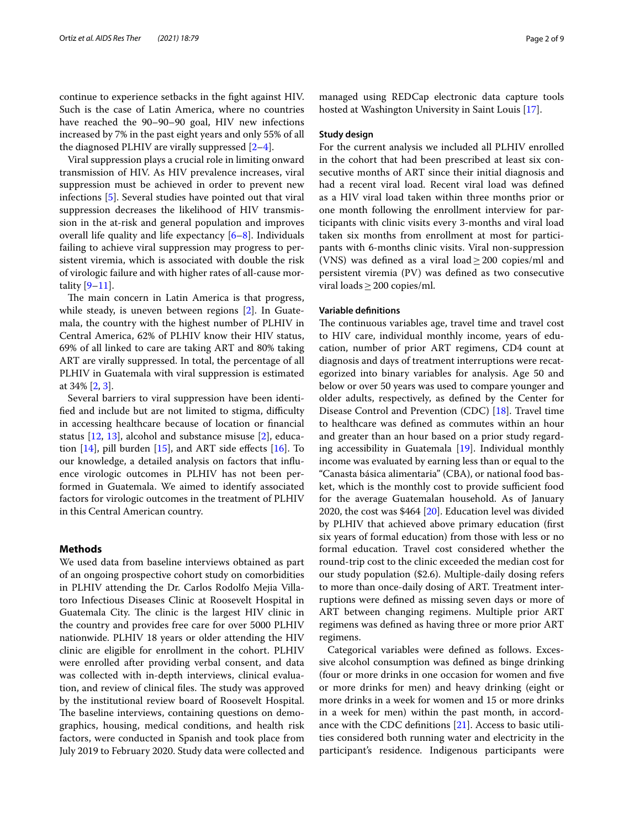continue to experience setbacks in the fght against HIV. Such is the case of Latin America, where no countries have reached the 90–90–90 goal, HIV new infections increased by 7% in the past eight years and only 55% of all the diagnosed PLHIV are virally suppressed  $[2-4]$  $[2-4]$ .

Viral suppression plays a crucial role in limiting onward transmission of HIV. As HIV prevalence increases, viral suppression must be achieved in order to prevent new infections [\[5](#page-7-3)]. Several studies have pointed out that viral suppression decreases the likelihood of HIV transmission in the at-risk and general population and improves overall life quality and life expectancy [[6–](#page-7-4)[8](#page-7-5)]. Individuals failing to achieve viral suppression may progress to persistent viremia, which is associated with double the risk of virologic failure and with higher rates of all-cause mortality  $[9-11]$  $[9-11]$ .

The main concern in Latin America is that progress, while steady, is uneven between regions [[2\]](#page-7-1). In Guatemala, the country with the highest number of PLHIV in Central America, 62% of PLHIV know their HIV status, 69% of all linked to care are taking ART and 80% taking ART are virally suppressed. In total, the percentage of all PLHIV in Guatemala with viral suppression is estimated at 34% [[2,](#page-7-1) [3](#page-7-8)].

Several barriers to viral suppression have been identified and include but are not limited to stigma, difficulty in accessing healthcare because of location or fnancial status [[12,](#page-7-9) [13\]](#page-7-10), alcohol and substance misuse [\[2](#page-7-1)], education  $[14]$  $[14]$  $[14]$ , pill burden  $[15]$  $[15]$ , and ART side effects  $[16]$  $[16]$ . To our knowledge, a detailed analysis on factors that infuence virologic outcomes in PLHIV has not been performed in Guatemala. We aimed to identify associated factors for virologic outcomes in the treatment of PLHIV in this Central American country.

#### **Methods**

We used data from baseline interviews obtained as part of an ongoing prospective cohort study on comorbidities in PLHIV attending the Dr. Carlos Rodolfo Mejia Villatoro Infectious Diseases Clinic at Roosevelt Hospital in Guatemala City. The clinic is the largest HIV clinic in the country and provides free care for over 5000 PLHIV nationwide. PLHIV 18 years or older attending the HIV clinic are eligible for enrollment in the cohort. PLHIV were enrolled after providing verbal consent, and data was collected with in-depth interviews, clinical evaluation, and review of clinical files. The study was approved by the institutional review board of Roosevelt Hospital. The baseline interviews, containing questions on demographics, housing, medical conditions, and health risk factors, were conducted in Spanish and took place from July 2019 to February 2020. Study data were collected and managed using REDCap electronic data capture tools hosted at Washington University in Saint Louis [\[17](#page-7-14)].

#### **Study design**

For the current analysis we included all PLHIV enrolled in the cohort that had been prescribed at least six consecutive months of ART since their initial diagnosis and had a recent viral load. Recent viral load was defned as a HIV viral load taken within three months prior or one month following the enrollment interview for participants with clinic visits every 3-months and viral load taken six months from enrollment at most for participants with 6-months clinic visits. Viral non-suppression (VNS) was defined as a viral load  $\geq$  200 copies/ml and persistent viremia (PV) was defned as two consecutive viral loads  $\geq$  200 copies/ml.

#### **Variable defnitions**

The continuous variables age, travel time and travel cost to HIV care, individual monthly income, years of education, number of prior ART regimens, CD4 count at diagnosis and days of treatment interruptions were recategorized into binary variables for analysis. Age 50 and below or over 50 years was used to compare younger and older adults, respectively, as defned by the Center for Disease Control and Prevention (CDC) [\[18](#page-7-15)]. Travel time to healthcare was defned as commutes within an hour and greater than an hour based on a prior study regarding accessibility in Guatemala [[19\]](#page-7-16). Individual monthly income was evaluated by earning less than or equal to the "Canasta básica alimentaria" (CBA), or national food basket, which is the monthly cost to provide sufficient food for the average Guatemalan household. As of January 2020, the cost was \$464 [\[20](#page-7-17)]. Education level was divided by PLHIV that achieved above primary education (frst six years of formal education) from those with less or no formal education. Travel cost considered whether the round-trip cost to the clinic exceeded the median cost for our study population (\$2.6). Multiple-daily dosing refers to more than once-daily dosing of ART. Treatment interruptions were defned as missing seven days or more of ART between changing regimens. Multiple prior ART regimens was defned as having three or more prior ART regimens.

Categorical variables were defned as follows. Excessive alcohol consumption was defned as binge drinking (four or more drinks in one occasion for women and fve or more drinks for men) and heavy drinking (eight or more drinks in a week for women and 15 or more drinks in a week for men) within the past month, in accordance with the CDC defnitions [[21\]](#page-7-18). Access to basic utilities considered both running water and electricity in the participant's residence. Indigenous participants were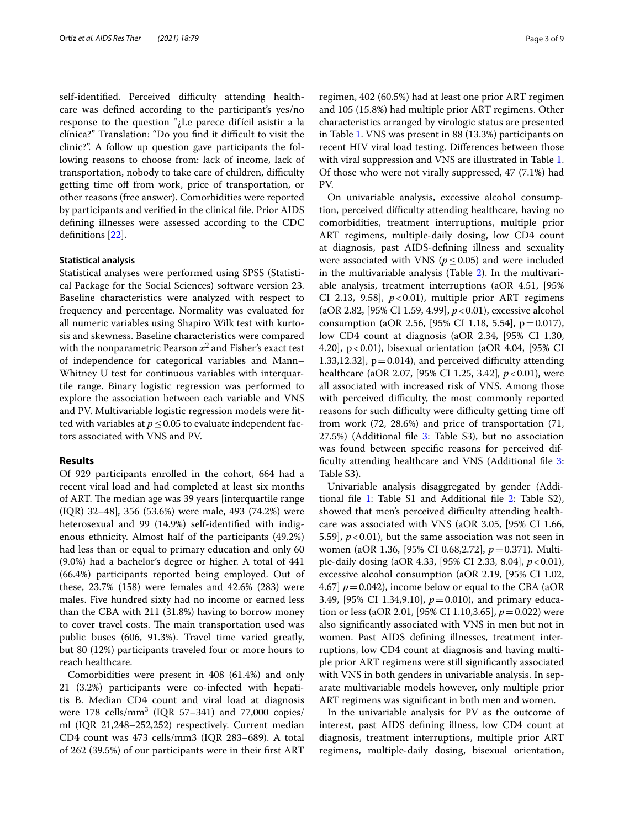self-identified. Perceived difficulty attending healthcare was defned according to the participant's yes/no response to the question "¿Le parece difícil asistir a la clínica?" Translation: "Do you find it difficult to visit the clinic?". A follow up question gave participants the following reasons to choose from: lack of income, lack of transportation, nobody to take care of children, difficulty getting time of from work, price of transportation, or other reasons (free answer). Comorbidities were reported by participants and verifed in the clinical fle. Prior AIDS defning illnesses were assessed according to the CDC defnitions [[22\]](#page-7-19).

#### **Statistical analysis**

Statistical analyses were performed using SPSS (Statistical Package for the Social Sciences) software version 23. Baseline characteristics were analyzed with respect to frequency and percentage. Normality was evaluated for all numeric variables using Shapiro Wilk test with kurtosis and skewness. Baseline characteristics were compared with the nonparametric Pearson  $x^2$  and Fisher's exact test of independence for categorical variables and Mann– Whitney U test for continuous variables with interquartile range. Binary logistic regression was performed to explore the association between each variable and VNS and PV. Multivariable logistic regression models were ftted with variables at  $p \leq 0.05$  to evaluate independent factors associated with VNS and PV.

#### **Results**

Of 929 participants enrolled in the cohort, 664 had a recent viral load and had completed at least six months of ART. The median age was 39 years [interquartile range (IQR) 32–48], 356 (53.6%) were male, 493 (74.2%) were heterosexual and 99 (14.9%) self-identifed with indigenous ethnicity. Almost half of the participants (49.2%) had less than or equal to primary education and only 60 (9.0%) had a bachelor's degree or higher. A total of 441 (66.4%) participants reported being employed. Out of these, 23.7% (158) were females and 42.6% (283) were males. Five hundred sixty had no income or earned less than the CBA with 211 (31.8%) having to borrow money to cover travel costs. The main transportation used was public buses (606, 91.3%). Travel time varied greatly, but 80 (12%) participants traveled four or more hours to reach healthcare.

Comorbidities were present in 408 (61.4%) and only 21 (3.2%) participants were co-infected with hepatitis B. Median CD4 count and viral load at diagnosis were  $178$  cells/mm<sup>3</sup> (IQR 57–341) and 77,000 copies/ ml (IQR 21,248–252,252) respectively. Current median CD4 count was 473 cells/mm3 (IQR 283–689). A total of 262 (39.5%) of our participants were in their frst ART

regimen, 402 (60.5%) had at least one prior ART regimen and 105 (15.8%) had multiple prior ART regimens. Other characteristics arranged by virologic status are presented in Table [1.](#page-3-0) VNS was present in 88 (13.3%) participants on recent HIV viral load testing. Diferences between those with viral suppression and VNS are illustrated in Table [1](#page-3-0). Of those who were not virally suppressed, 47 (7.1%) had PV.

On univariable analysis, excessive alcohol consumption, perceived difficulty attending healthcare, having no comorbidities, treatment interruptions, multiple prior ART regimens, multiple-daily dosing, low CD4 count at diagnosis, past AIDS-defning illness and sexuality were associated with VNS ( $p \le 0.05$ ) and were included in the multivariable analysis (Table [2\)](#page-4-0). In the multivariable analysis, treatment interruptions (aOR 4.51, [95% CI 2.13, 9.58],  $p < 0.01$ ), multiple prior ART regimens (aOR 2.82, [95% CI 1.59, 4.99], *p*<0.01), excessive alcohol consumption (aOR 2.56, [95% CI 1.18, 5.54], p=0.017), low CD4 count at diagnosis (aOR 2.34, [95% CI 1.30, 4.20], p<0.01), bisexual orientation (aOR 4.04, [95% CI 1.33,12.32],  $p = 0.014$ , and perceived difficulty attending healthcare (aOR 2.07, [95% CI 1.25, 3.42]*, p*<0.01), were all associated with increased risk of VNS. Among those with perceived difficulty, the most commonly reported reasons for such difficulty were difficulty getting time off from work (72, 28.6%) and price of transportation (71, 27.5%) (Additional file [3](#page-6-0): Table S3), but no association was found between specifc reasons for perceived dif-ficulty attending healthcare and VNS (Additional file [3](#page-6-0): Table S3).

Univariable analysis disaggregated by gender (Additional fle [1](#page-6-1): Table S1 and Additional fle [2](#page-6-2): Table S2), showed that men's perceived difficulty attending healthcare was associated with VNS (aOR 3.05, [95% CI 1.66, 5.59],  $p < 0.01$ ), but the same association was not seen in women (aOR 1.36, [95% CI 0.68,2.72], *p*=0.371). Multiple-daily dosing (aOR 4.33, [95% CI 2.33, 8.04], *p*<0.01), excessive alcohol consumption (aOR 2.19, [95% CI 1.02, 4.67]  $p = 0.042$ ), income below or equal to the CBA (aOR 3.49, [95% CI 1.34,9.10], *p*=0.010), and primary education or less (aOR 2.01, [95% CI 1.10,3.65], *p*=0.022) were also signifcantly associated with VNS in men but not in women. Past AIDS defning illnesses, treatment interruptions, low CD4 count at diagnosis and having multiple prior ART regimens were still signifcantly associated with VNS in both genders in univariable analysis. In separate multivariable models however, only multiple prior ART regimens was signifcant in both men and women.

In the univariable analysis for PV as the outcome of interest, past AIDS defning illness, low CD4 count at diagnosis, treatment interruptions, multiple prior ART regimens, multiple-daily dosing, bisexual orientation,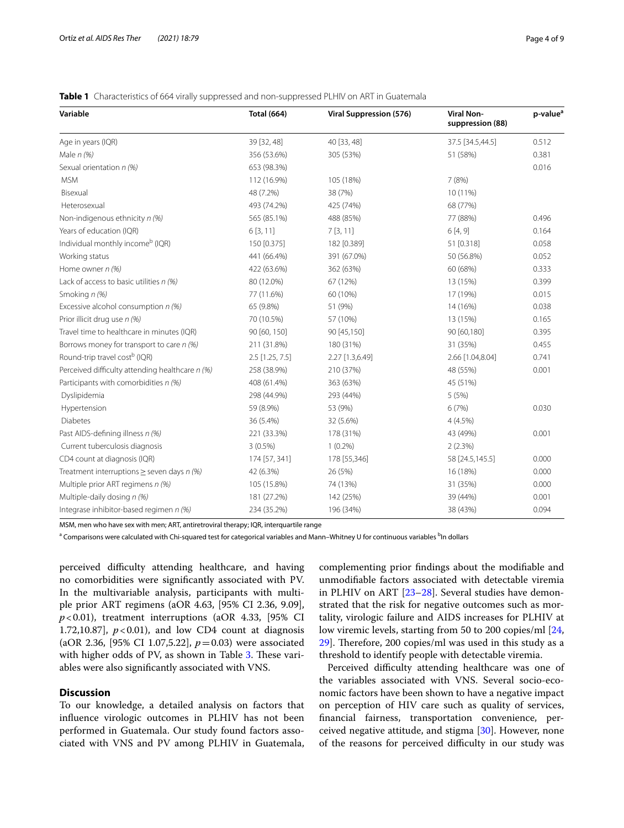#### <span id="page-3-0"></span>**Table 1** Characteristics of 664 virally suppressed and non-suppressed PLHIV on ART in Guatemala

| Variable                                        | <b>Total (664)</b> | Viral Suppression (576) | <b>Viral Non-</b><br>suppression (88) | p-value <sup>a</sup> |
|-------------------------------------------------|--------------------|-------------------------|---------------------------------------|----------------------|
| Age in years (IQR)                              | 39 [32, 48]        | 40 [33, 48]             | 37.5 [34.5,44.5]                      | 0.512                |
| Male $n$ (%)                                    | 356 (53.6%)        | 305 (53%)               | 51 (58%)                              | 0.381                |
| Sexual orientation n (%)                        | 653 (98.3%)        |                         |                                       | 0.016                |
| <b>MSM</b>                                      | 112 (16.9%)        | 105 (18%)               | 7(8%)                                 |                      |
| Bisexual                                        | 48 (7.2%)          | 38 (7%)                 | 10 (11%)                              |                      |
| Heterosexual                                    | 493 (74.2%)        | 425 (74%)               | 68 (77%)                              |                      |
| Non-indigenous ethnicity n (%)                  | 565 (85.1%)        | 488 (85%)               | 77 (88%)                              | 0.496                |
| Years of education (IQR)                        | 6[3, 11]           | 7[3, 11]                | 6[4, 9]                               | 0.164                |
| Individual monthly income <sup>b</sup> (IQR)    | 150 [0.375]        | 182 [0.389]             | 51 [0.318]                            | 0.058                |
| Working status                                  | 441 (66.4%)        | 391 (67.0%)             | 50 (56.8%)                            | 0.052                |
| Home owner $n$ (%)                              | 422 (63.6%)        | 362 (63%)               | 60 (68%)                              | 0.333                |
| Lack of access to basic utilities $n$ (%)       | 80 (12.0%)         | 67 (12%)                | 13 (15%)                              | 0.399                |
| Smoking n (%)                                   | 77 (11.6%)         | 60 (10%)                | 17 (19%)                              | 0.015                |
| Excessive alcohol consumption $n$ (%)           | 65 (9.8%)          | 51 (9%)                 | 14 (16%)                              | 0.038                |
| Prior illicit drug use n (%)                    | 70 (10.5%)         | 57 (10%)                | 13 (15%)                              | 0.165                |
| Travel time to healthcare in minutes (IQR)      | 90 [60, 150]       | 90 [45,150]             | 90 [60,180]                           | 0.395                |
| Borrows money for transport to care n (%)       | 211 (31.8%)        | 180 (31%)               | 31 (35%)                              | 0.455                |
| Round-trip travel cost <sup>b</sup> (IQR)       | $2.5$ [1.25, 7.5]  | 2.27 [1.3,6.49]         | 2.66 [1.04,8.04]                      | 0.741                |
| Perceived difficulty attending healthcare n (%) | 258 (38.9%)        | 210 (37%)               | 48 (55%)                              | 0.001                |
| Participants with comorbidities n (%)           | 408 (61.4%)        | 363 (63%)               | 45 (51%)                              |                      |
| Dyslipidemia                                    | 298 (44.9%)        | 293 (44%)               | 5(5%)                                 |                      |
| Hypertension                                    | 59 (8.9%)          | 53 (9%)                 | 6(7%)                                 | 0.030                |
| <b>Diabetes</b>                                 | 36 (5.4%)          | 32 (5.6%)               | 4(4.5%)                               |                      |
| Past AIDS-defining illness n (%)                | 221 (33.3%)        | 178 (31%)               | 43 (49%)                              | 0.001                |
| Current tuberculosis diagnosis                  | $3(0.5\%)$         | $1(0.2\%)$              | 2(2.3%)                               |                      |
| CD4 count at diagnosis (IQR)                    | 174 [57, 341]      | 178 [55,346]            | 58 [24.5,145.5]                       | 0.000                |
| Treatment interruptions $\geq$ seven days n (%) | 42 (6.3%)          | 26 (5%)                 | 16 (18%)                              | 0.000                |
| Multiple prior ART regimens n (%)               | 105 (15.8%)        | 74 (13%)                | 31 (35%)                              | 0.000                |
| Multiple-daily dosing $n$ (%)                   | 181 (27.2%)        | 142 (25%)               | 39 (44%)                              | 0.001                |
| Integrase inhibitor-based regimen n (%)         | 234 (35.2%)        | 196 (34%)               | 38 (43%)                              | 0.094                |

MSM, men who have sex with men; ART, antiretroviral therapy; IQR, interquartile range

<sup>a</sup> Comparisons were calculated with Chi-squared test for categorical variables and Mann–Whitney U for continuous variables <sup>b</sup>In dollars

perceived difficulty attending healthcare, and having no comorbidities were signifcantly associated with PV. In the multivariable analysis, participants with multiple prior ART regimens (aOR 4.63, [95% CI 2.36, 9.09],  $p$ <0.01), treatment interruptions (aOR 4.33, [95% CI 1.72,10.87],  $p < 0.01$ ), and low CD4 count at diagnosis (aOR 2.36, [95% CI 1.07,5.22], *p*=0.03) were associated with higher odds of PV, as shown in Table  $3$ . These variables were also signifcantly associated with VNS.

#### **Discussion**

To our knowledge, a detailed analysis on factors that infuence virologic outcomes in PLHIV has not been performed in Guatemala. Our study found factors associated with VNS and PV among PLHIV in Guatemala, complementing prior fndings about the modifable and unmodifable factors associated with detectable viremia in PLHIV on ART [[23–](#page-7-20)[28](#page-7-21)]. Several studies have demonstrated that the risk for negative outcomes such as mortality, virologic failure and AIDS increases for PLHIV at low viremic levels, starting from 50 to 200 copies/ml [[24](#page-7-22),  $29$ . Therefore, 200 copies/ml was used in this study as a threshold to identify people with detectable viremia.

Perceived difficulty attending healthcare was one of the variables associated with VNS. Several socio-economic factors have been shown to have a negative impact on perception of HIV care such as quality of services, fnancial fairness, transportation convenience, perceived negative attitude, and stigma [[30](#page-7-24)]. However, none of the reasons for perceived difficulty in our study was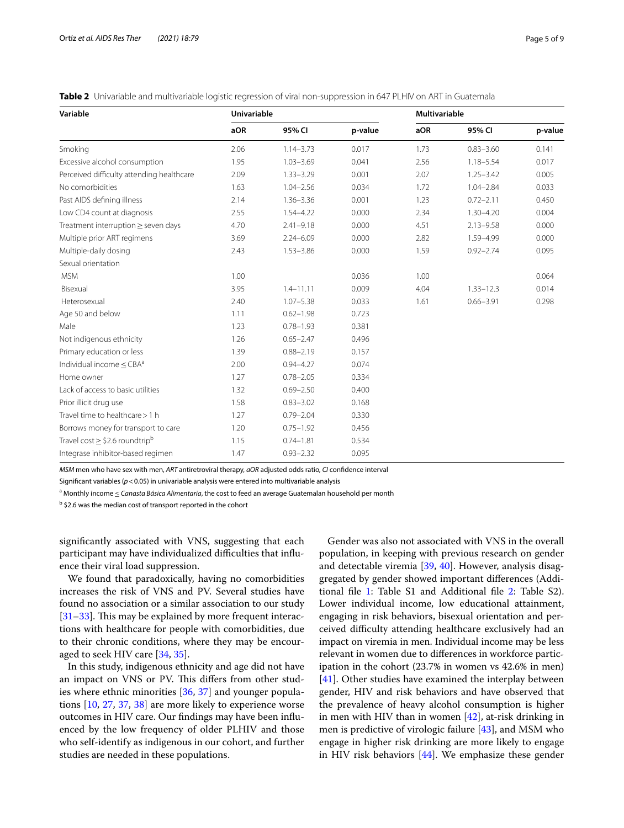<span id="page-4-0"></span>**Table 2** Univariable and multivariable logistic regression of viral non-suppression in 647 PLHIV on ART in Guatemala

| Variable                                       | Univariable |               |         | Multivariable |               |         |
|------------------------------------------------|-------------|---------------|---------|---------------|---------------|---------|
|                                                | aOR         | 95% CI        | p-value | aOR           | 95% CI        | p-value |
| Smoking                                        | 2.06        | $1.14 - 3.73$ | 0.017   | 1.73          | $0.83 - 3.60$ | 0.141   |
| Excessive alcohol consumption                  | 1.95        | $1.03 - 3.69$ | 0.041   | 2.56          | $1.18 - 5.54$ | 0.017   |
| Perceived difficulty attending healthcare      | 2.09        | $1.33 - 3.29$ | 0.001   | 2.07          | $1.25 - 3.42$ | 0.005   |
| No comorbidities                               | 1.63        | $1.04 - 2.56$ | 0.034   | 1.72          | $1.04 - 2.84$ | 0.033   |
| Past AIDS defining illness                     | 2.14        | $1.36 - 3.36$ | 0.001   | 1.23          | $0.72 - 2.11$ | 0.450   |
| Low CD4 count at diagnosis                     | 2.55        | $1.54 - 4.22$ | 0.000   | 2.34          | $1.30 - 4.20$ | 0.004   |
| Treatment interruption $\geq$ seven days       | 4.70        | $2.41 - 9.18$ | 0.000   | 4.51          | $2.13 - 9.58$ | 0.000   |
| Multiple prior ART regimens                    | 3.69        | $2.24 - 6.09$ | 0.000   | 2.82          | 1.59-4.99     | 0.000   |
| Multiple-daily dosing                          | 2.43        | $1.53 - 3.86$ | 0.000   | 1.59          | $0.92 - 2.74$ | 0.095   |
| Sexual orientation                             |             |               |         |               |               |         |
| <b>MSM</b>                                     | 1.00        |               | 0.036   | 1.00          |               | 0.064   |
| Bisexual                                       | 3.95        | $1.4 - 11.11$ | 0.009   | 4.04          | $1.33 - 12.3$ | 0.014   |
| Heterosexual                                   | 2.40        | $1.07 - 5.38$ | 0.033   | 1.61          | $0.66 - 3.91$ | 0.298   |
| Age 50 and below                               | 1.11        | $0.62 - 1.98$ | 0.723   |               |               |         |
| Male                                           | 1.23        | $0.78 - 1.93$ | 0.381   |               |               |         |
| Not indigenous ethnicity                       | 1.26        | $0.65 - 2.47$ | 0.496   |               |               |         |
| Primary education or less                      | 1.39        | $0.88 - 2.19$ | 0.157   |               |               |         |
| Individual income $\leq$ CBA <sup>a</sup>      | 2.00        | $0.94 - 4.27$ | 0.074   |               |               |         |
| Home owner                                     | 1.27        | $0.78 - 2.05$ | 0.334   |               |               |         |
| Lack of access to basic utilities              | 1.32        | $0.69 - 2.50$ | 0.400   |               |               |         |
| Prior illicit drug use                         | 1.58        | $0.83 - 3.02$ | 0.168   |               |               |         |
| Travel time to healthcare > 1 h                | 1.27        | $0.79 - 2.04$ | 0.330   |               |               |         |
| Borrows money for transport to care            | 1.20        | $0.75 - 1.92$ | 0.456   |               |               |         |
| Travel cost $\ge$ \$2.6 roundtrip <sup>b</sup> | 1.15        | $0.74 - 1.81$ | 0.534   |               |               |         |
| Integrase inhibitor-based regimen              | 1.47        | $0.93 - 2.32$ | 0.095   |               |               |         |

*MSM* men who have sex with men, *ART* antiretroviral therapy, *aOR* adjusted odds ratio, *CI* confdence interval

Signifcant variables (*p*<0.05) in univariable analysis were entered into multivariable analysis

<sup>a</sup> Monthly income ≤*Canasta Básica Alimentaria,* the cost to feed an average Guatemalan household per month

<sup>b</sup> \$2.6 was the median cost of transport reported in the cohort

signifcantly associated with VNS, suggesting that each participant may have individualized difficulties that influence their viral load suppression.

We found that paradoxically, having no comorbidities increases the risk of VNS and PV. Several studies have found no association or a similar association to our study  $[31–33]$  $[31–33]$  $[31–33]$  $[31–33]$ . This may be explained by more frequent interactions with healthcare for people with comorbidities, due to their chronic conditions, where they may be encouraged to seek HIV care [\[34](#page-7-27), [35\]](#page-7-28).

In this study, indigenous ethnicity and age did not have an impact on VNS or PV. This differs from other studies where ethnic minorities [\[36](#page-7-29), [37\]](#page-7-30) and younger populations [\[10,](#page-7-31) [27,](#page-7-32) [37,](#page-7-30) [38\]](#page-8-0) are more likely to experience worse outcomes in HIV care. Our fndings may have been infuenced by the low frequency of older PLHIV and those who self-identify as indigenous in our cohort, and further studies are needed in these populations.

Gender was also not associated with VNS in the overall population, in keeping with previous research on gender and detectable viremia [[39,](#page-8-1) [40\]](#page-8-2). However, analysis disaggregated by gender showed important diferences (Additional fle [1](#page-6-1): Table S1 and Additional fle [2](#page-6-2): Table S2). Lower individual income, low educational attainment, engaging in risk behaviors, bisexual orientation and perceived difficulty attending healthcare exclusively had an impact on viremia in men. Individual income may be less relevant in women due to diferences in workforce participation in the cohort (23.7% in women vs 42.6% in men) [[41\]](#page-8-3). Other studies have examined the interplay between gender, HIV and risk behaviors and have observed that the prevalence of heavy alcohol consumption is higher in men with HIV than in women  $[42]$ , at-risk drinking in men is predictive of virologic failure [\[43](#page-8-5)], and MSM who engage in higher risk drinking are more likely to engage in HIV risk behaviors [[44](#page-8-6)]. We emphasize these gender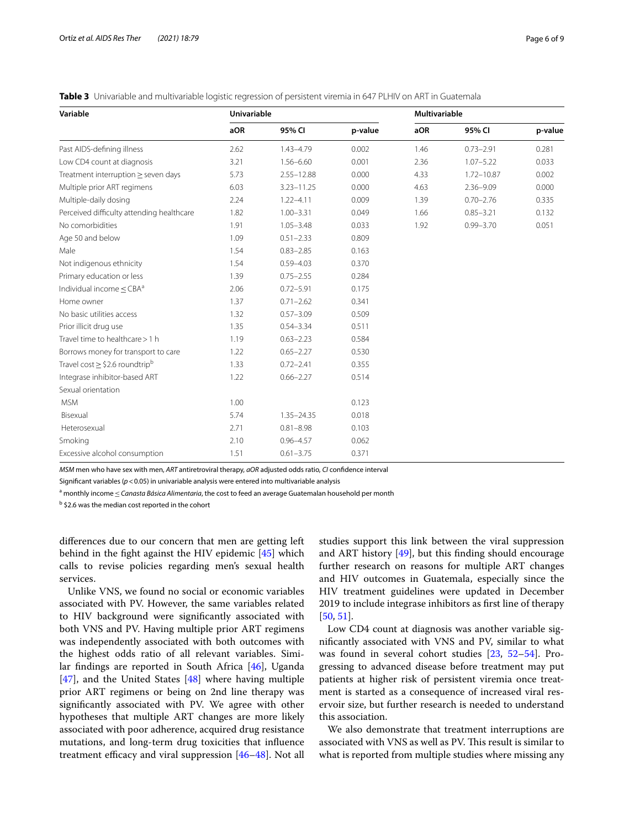<span id="page-5-0"></span>

|  |  | Table 3 Univariable and multivariable logistic regression of persistent viremia in 647 PLHIV on ART in Guatemala |  |  |  |  |  |  |  |  |
|--|--|------------------------------------------------------------------------------------------------------------------|--|--|--|--|--|--|--|--|
|--|--|------------------------------------------------------------------------------------------------------------------|--|--|--|--|--|--|--|--|

| Variable                                       | <b>Univariable</b> |                |         | <b>Multivariable</b> |                |         |  |
|------------------------------------------------|--------------------|----------------|---------|----------------------|----------------|---------|--|
|                                                | aOR                | 95% CI         | p-value | aOR                  | 95% CI         | p-value |  |
| Past AIDS-defining illness                     | 2.62               | 1.43-4.79      | 0.002   | 1.46                 | $0.73 - 2.91$  | 0.281   |  |
| Low CD4 count at diagnosis                     | 3.21               | $1.56 - 6.60$  | 0.001   | 2.36                 | $1.07 - 5.22$  | 0.033   |  |
| Treatment interruption $\geq$ seven days       | 5.73               | $2.55 - 12.88$ | 0.000   | 4.33                 | $1.72 - 10.87$ | 0.002   |  |
| Multiple prior ART regimens                    | 6.03               | $3.23 - 11.25$ | 0.000   | 4.63                 | $2.36 - 9.09$  | 0.000   |  |
| Multiple-daily dosing                          | 2.24               | $1.22 - 4.11$  | 0.009   | 1.39                 | $0.70 - 2.76$  | 0.335   |  |
| Perceived difficulty attending healthcare      | 1.82               | $1.00 - 3.31$  | 0.049   | 1.66                 | $0.85 - 3.21$  | 0.132   |  |
| No comorbidities                               | 1.91               | $1.05 - 3.48$  | 0.033   | 1.92                 | $0.99 - 3.70$  | 0.051   |  |
| Age 50 and below                               | 1.09               | $0.51 - 2.33$  | 0.809   |                      |                |         |  |
| Male                                           | 1.54               | $0.83 - 2.85$  | 0.163   |                      |                |         |  |
| Not indigenous ethnicity                       | 1.54               | $0.59 - 4.03$  | 0.370   |                      |                |         |  |
| Primary education or less                      | 1.39               | $0.75 - 2.55$  | 0.284   |                      |                |         |  |
| Individual income $\leq$ CBA <sup>a</sup>      | 2.06               | $0.72 - 5.91$  | 0.175   |                      |                |         |  |
| Home owner                                     | 1.37               | $0.71 - 2.62$  | 0.341   |                      |                |         |  |
| No basic utilities access                      | 1.32               | $0.57 - 3.09$  | 0.509   |                      |                |         |  |
| Prior illicit drug use                         | 1.35               | $0.54 - 3.34$  | 0.511   |                      |                |         |  |
| Travel time to healthcare > 1 h                | 1.19               | $0.63 - 2.23$  | 0.584   |                      |                |         |  |
| Borrows money for transport to care            | 1.22               | $0.65 - 2.27$  | 0.530   |                      |                |         |  |
| Travel cost $\ge$ \$2.6 roundtrip <sup>b</sup> | 1.33               | $0.72 - 2.41$  | 0.355   |                      |                |         |  |
| Integrase inhibitor-based ART                  | 1.22               | $0.66 - 2.27$  | 0.514   |                      |                |         |  |
| Sexual orientation                             |                    |                |         |                      |                |         |  |
| <b>MSM</b>                                     | 1.00               |                | 0.123   |                      |                |         |  |
| Bisexual                                       | 5.74               | $1.35 - 24.35$ | 0.018   |                      |                |         |  |
| Heterosexual                                   | 2.71               | $0.81 - 8.98$  | 0.103   |                      |                |         |  |
| Smoking                                        | 2.10               | $0.96 - 4.57$  | 0.062   |                      |                |         |  |
| Excessive alcohol consumption                  | 1.51               | $0.61 - 3.75$  | 0.371   |                      |                |         |  |

*MSM* men who have sex with men, *ART* antiretroviral therapy, *aOR* adjusted odds ratio, *CI* confdence interval

Signifcant variables (*p*<0.05) in univariable analysis were entered into multivariable analysis

<sup>a</sup> monthly income ≤*Canasta Básica Alimentaria,* the cost to feed an average Guatemalan household per month

<sup>b</sup> \$2.6 was the median cost reported in the cohort

diferences due to our concern that men are getting left behind in the fght against the HIV epidemic [[45\]](#page-8-7) which calls to revise policies regarding men's sexual health services.

Unlike VNS, we found no social or economic variables associated with PV. However, the same variables related to HIV background were signifcantly associated with both VNS and PV. Having multiple prior ART regimens was independently associated with both outcomes with the highest odds ratio of all relevant variables. Similar fndings are reported in South Africa [\[46](#page-8-8)], Uganda [[47\]](#page-8-9), and the United States [\[48\]](#page-8-10) where having multiple prior ART regimens or being on 2nd line therapy was signifcantly associated with PV. We agree with other hypotheses that multiple ART changes are more likely associated with poor adherence, acquired drug resistance mutations, and long-term drug toxicities that infuence treatment efficacy and viral suppression  $[46-48]$  $[46-48]$ . Not all studies support this link between the viral suppression and ART history  $[49]$  $[49]$  $[49]$ , but this finding should encourage further research on reasons for multiple ART changes and HIV outcomes in Guatemala, especially since the HIV treatment guidelines were updated in December 2019 to include integrase inhibitors as frst line of therapy [[50,](#page-8-12) [51](#page-8-13)].

Low CD4 count at diagnosis was another variable signifcantly associated with VNS and PV, similar to what was found in several cohort studies [[23,](#page-7-20) [52–](#page-8-14)[54](#page-8-15)]. Progressing to advanced disease before treatment may put patients at higher risk of persistent viremia once treatment is started as a consequence of increased viral reservoir size, but further research is needed to understand this association.

We also demonstrate that treatment interruptions are associated with VNS as well as PV. This result is similar to what is reported from multiple studies where missing any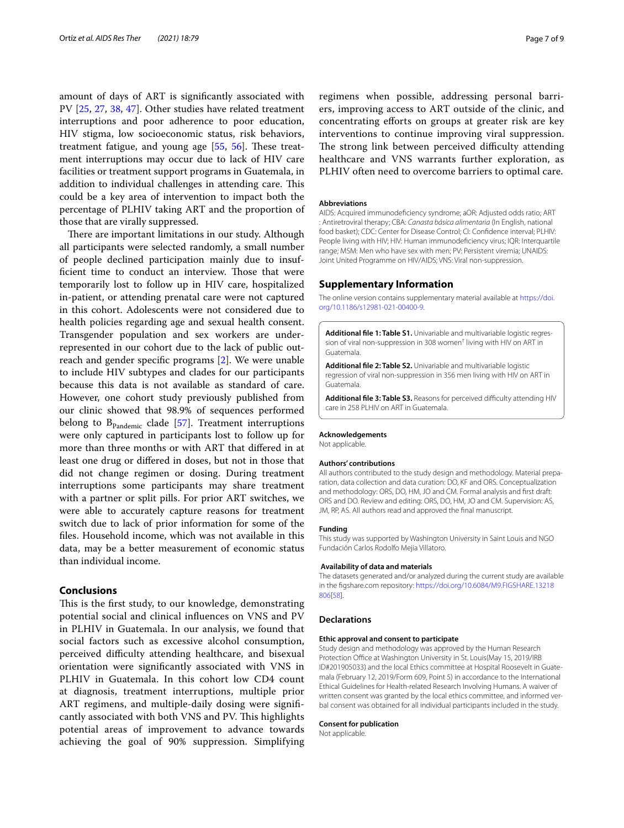amount of days of ART is signifcantly associated with PV [\[25](#page-7-33), [27](#page-7-32), [38](#page-8-0), [47](#page-8-9)]. Other studies have related treatment interruptions and poor adherence to poor education, HIV stigma, low socioeconomic status, risk behaviors, treatment fatigue, and young age  $[55, 56]$  $[55, 56]$  $[55, 56]$  $[55, 56]$ . These treatment interruptions may occur due to lack of HIV care facilities or treatment support programs in Guatemala, in addition to individual challenges in attending care. This could be a key area of intervention to impact both the percentage of PLHIV taking ART and the proportion of those that are virally suppressed.

There are important limitations in our study. Although all participants were selected randomly, a small number of people declined participation mainly due to insufficient time to conduct an interview. Those that were temporarily lost to follow up in HIV care, hospitalized in-patient, or attending prenatal care were not captured in this cohort. Adolescents were not considered due to health policies regarding age and sexual health consent. Transgender population and sex workers are underrepresented in our cohort due to the lack of public outreach and gender specifc programs [[2\]](#page-7-1). We were unable to include HIV subtypes and clades for our participants because this data is not available as standard of care. However, one cohort study previously published from our clinic showed that 98.9% of sequences performed belong to  $B_{Pandemic}$  clade [\[57\]](#page-8-18). Treatment interruptions were only captured in participants lost to follow up for more than three months or with ART that difered in at least one drug or difered in doses, but not in those that did not change regimen or dosing. During treatment interruptions some participants may share treatment with a partner or split pills. For prior ART switches, we were able to accurately capture reasons for treatment switch due to lack of prior information for some of the fles. Household income, which was not available in this data, may be a better measurement of economic status than individual income.

#### **Conclusions**

This is the first study, to our knowledge, demonstrating potential social and clinical infuences on VNS and PV in PLHIV in Guatemala. In our analysis, we found that social factors such as excessive alcohol consumption, perceived difculty attending healthcare, and bisexual orientation were signifcantly associated with VNS in PLHIV in Guatemala. In this cohort low CD4 count at diagnosis, treatment interruptions, multiple prior ART regimens, and multiple-daily dosing were signifcantly associated with both VNS and PV. This highlights potential areas of improvement to advance towards achieving the goal of 90% suppression. Simplifying regimens when possible, addressing personal barriers, improving access to ART outside of the clinic, and concentrating eforts on groups at greater risk are key interventions to continue improving viral suppression. The strong link between perceived difficulty attending healthcare and VNS warrants further exploration, as PLHIV often need to overcome barriers to optimal care.

#### **Abbreviations**

AIDS: Acquired immunodefciency syndrome; aOR: Adjusted odds ratio; ART : Antiretroviral therapy; CBA: *Canasta básica alimentaria* (In English, national food basket); CDC: Center for Disease Control; CI: Confdence interval; PLHIV: People living with HIV; HIV: Human immunodeficiency virus; IQR: Interquartile range; MSM: Men who have sex with men; PV: Persistent viremia; UNAIDS: Joint United Programme on HIV/AIDS; VNS: Viral non-suppression.

#### **Supplementary Information**

The online version contains supplementary material available at [https://doi.](https://doi.org/10.1186/s12981-021-00400-9) [org/10.1186/s12981-021-00400-9](https://doi.org/10.1186/s12981-021-00400-9).

<span id="page-6-1"></span>Additional file 1: Table S1. Univariable and multivariable logistic regression of viral non-suppression in 308 women† living with HIV on ART in Guatemala.

<span id="page-6-2"></span>**Additional fle 2: Table S2.** Univariable and multivariable logistic regression of viral non-suppression in 356 men living with HIV on ART in Guatemala.

<span id="page-6-0"></span>**Additional file 3: Table S3.** Reasons for perceived difficulty attending HIV care in 258 PLHIV on ART in Guatemala.

#### **Acknowledgements**

Not applicable.

#### **Authors' contributions**

All authors contributed to the study design and methodology. Material preparation, data collection and data curation: DO, KF and ORS. Conceptualization and methodology: ORS, DO, HM, JO and CM. Formal analysis and frst draft: ORS and DO. Review and editing: ORS, DO, HM, JO and CM. Supervision: AS, JM, RP, AS. All authors read and approved the fnal manuscript.

#### **Funding**

This study was supported by Washington University in Saint Louis and NGO Fundación Carlos Rodolfo Mejia Villatoro.

#### **Availability of data and materials**

The datasets generated and/or analyzed during the current study are available in the fgshare.com repository: [https://doi.org/10.6084/M9.FIGSHARE.13218](https://doi.org/10.6084/M9.FIGSHARE.13218806) [806\[](https://doi.org/10.6084/M9.FIGSHARE.13218806)[58](#page-8-19)].

#### **Declarations**

#### **Ethic approval and consent to participate**

Study design and methodology was approved by the Human Research Protection Office at Washington University in St. Louis(May 15, 2019/IRB ID#201905033) and the local Ethics committee at Hospital Roosevelt in Guatemala (February 12, 2019/Form 609, Point 5) in accordance to the International Ethical Guidelines for Health-related Research Involving Humans. A waiver of written consent was granted by the local ethics committee, and informed verbal consent was obtained for all individual participants included in the study.

#### **Consent for publication**

Not applicable.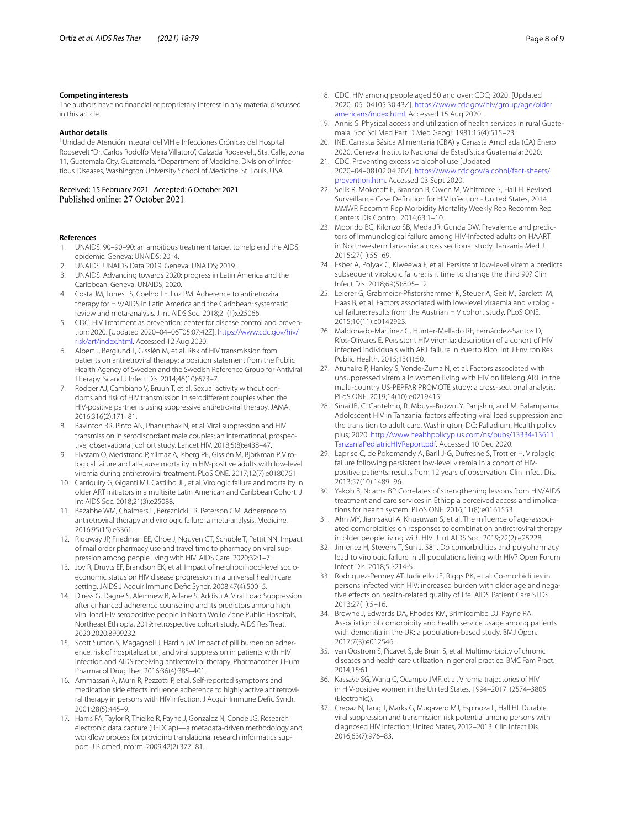#### **Competing interests**

The authors have no fnancial or proprietary interest in any material discussed in this article.

#### **Author details**

<sup>1</sup> Unidad de Atención Integral del VIH e Infecciones Crónicas del Hospital Roosevelt "Dr. Carlos Rodolfo Mejía Villatoro", Calzada Roosevelt, 5ta. Calle, zona 11, Guatemala City, Guatemala. <sup>2</sup> Department of Medicine, Division of Infectious Diseases, Washington University School of Medicine, St. Louis, USA.

# Received: 15 February 2021 Accepted: 6 October 2021

#### **References**

- <span id="page-7-0"></span>1. UNAIDS. 90–90–90: an ambitious treatment target to help end the AIDS epidemic. Geneva: UNAIDS; 2014.
- <span id="page-7-1"></span>2. UNAIDS. UNAIDS Data 2019. Geneva: UNAIDS; 2019.
- <span id="page-7-8"></span>3. UNAIDS. Advancing towards 2020: progress in Latin America and the Caribbean. Geneva: UNAIDS; 2020.
- <span id="page-7-2"></span>4. Costa JM, Torres TS, Coelho LE, Luz PM. Adherence to antiretroviral therapy for HIV/AIDS in Latin America and the Caribbean: systematic review and meta-analysis. J Int AIDS Soc. 2018;21(1):e25066.
- <span id="page-7-3"></span>5. CDC. HIV Treatment as prevention: center for disease control and prevention; 2020. [Updated 2020–04–06T05:07:42Z]. [https://www.cdc.gov/hiv/](https://www.cdc.gov/hiv/risk/art/index.html) [risk/art/index.html.](https://www.cdc.gov/hiv/risk/art/index.html) Accessed 12 Aug 2020.
- <span id="page-7-4"></span>6. Albert J, Berglund T, Gisslén M, et al. Risk of HIV transmission from patients on antiretroviral therapy: a position statement from the Public Health Agency of Sweden and the Swedish Reference Group for Antiviral Therapy. Scand J Infect Dis. 2014;46(10):673–7.
- 7. Rodger AJ, Cambiano V, Bruun T, et al. Sexual activity without condoms and risk of HIV transmission in serodiferent couples when the HIV-positive partner is using suppressive antiretroviral therapy. JAMA. 2016;316(2):171–81.
- <span id="page-7-5"></span>8. Bavinton BR, Pinto AN, Phanuphak N, et al. Viral suppression and HIV transmission in serodiscordant male couples: an international, prospec‑ tive, observational, cohort study. Lancet HIV. 2018;5(8):e438–47.
- <span id="page-7-6"></span>9. Elvstam O, Medstrand P, Yilmaz A, Isberg PE, Gisslén M, Björkman P. Virological failure and all-cause mortality in HIV-positive adults with low-level viremia during antiretroviral treatment. PLoS ONE. 2017;12(7):e0180761.
- <span id="page-7-31"></span>10. Carriquiry G, Giganti MJ, Castilho JL, et al. Virologic failure and mortality in older ART initiators in a multisite Latin American and Caribbean Cohort. J Int AIDS Soc. 2018;21(3):e25088.
- <span id="page-7-7"></span>11. Bezabhe WM, Chalmers L, Bereznicki LR, Peterson GM. Adherence to antiretroviral therapy and virologic failure: a meta-analysis. Medicine. 2016;95(15):e3361.
- <span id="page-7-9"></span>12. Ridgway JP, Friedman EE, Choe J, Nguyen CT, Schuble T, Pettit NN. Impact of mail order pharmacy use and travel time to pharmacy on viral suppression among people living with HIV. AIDS Care. 2020;32:1–7.
- <span id="page-7-10"></span>13. Joy R, Druyts EF, Brandson EK, et al. Impact of neighborhood-level socioeconomic status on HIV disease progression in a universal health care setting. JAIDS J Acquir Immune Defc Syndr. 2008;47(4):500–5.
- <span id="page-7-11"></span>14. Diress G, Dagne S, Alemnew B, Adane S, Addisu A. Viral Load Suppression after enhanced adherence counseling and its predictors among high viral load HIV seropositive people in North Wollo Zone Public Hospitals, Northeast Ethiopia, 2019: retrospective cohort study. AIDS Res Treat. 2020;2020:8909232.
- <span id="page-7-12"></span>15. Scott Sutton S, Magagnoli J, Hardin JW. Impact of pill burden on adherence, risk of hospitalization, and viral suppression in patients with HIV infection and AIDS receiving antiretroviral therapy. Pharmacother J Hum Pharmacol Drug Ther. 2016;36(4):385–401.
- <span id="page-7-13"></span>16. Ammassari A, Murri R, Pezzotti P, et al. Self-reported symptoms and medication side effects influence adherence to highly active antiretroviral therapy in persons with HIV infection. J Acquir Immune Defc Syndr. 2001;28(5):445–9.
- <span id="page-7-14"></span>17. Harris PA, Taylor R, Thielke R, Payne J, Gonzalez N, Conde JG. Research electronic data capture (REDCap)—a metadata-driven methodology and workflow process for providing translational research informatics support. J Biomed Inform. 2009;42(2):377–81.
- <span id="page-7-15"></span>18. CDC. HIV among people aged 50 and over: CDC; 2020. [Updated 2020–06–04T05:30:43Z]. [https://www.cdc.gov/hiv/group/age/older](https://www.cdc.gov/hiv/group/age/olderamericans/index.html) [americans/index.html.](https://www.cdc.gov/hiv/group/age/olderamericans/index.html) Accessed 15 Aug 2020.
- <span id="page-7-16"></span>19. Annis S. Physical access and utilization of health services in rural Guatemala. Soc Sci Med Part D Med Geogr. 1981;15(4):515–23.
- <span id="page-7-17"></span>20. INE. Canasta Básica Alimentaria (CBA) y Canasta Ampliada (CA) Enero 2020. Geneva: Instituto Nacional de Estadística Guatemala; 2020.
- <span id="page-7-18"></span>21. CDC. Preventing excessive alcohol use [Updated 2020–04–08T02:04:20Z]. [https://www.cdc.gov/alcohol/fact-sheets/](https://www.cdc.gov/alcohol/fact-sheets/prevention.htm) [prevention.htm.](https://www.cdc.gov/alcohol/fact-sheets/prevention.htm) Accessed 03 Sept 2020.
- <span id="page-7-19"></span>22. Selik R, Mokotoff E, Branson B, Owen M, Whitmore S, Hall H. Revised Surveillance Case Defnition for HIV Infection - United States, 2014. MMWR Recomm Rep Morbidity Mortality Weekly Rep Recomm Rep Centers Dis Control. 2014;63:1–10.
- <span id="page-7-20"></span>23. Mpondo BC, Kilonzo SB, Meda JR, Gunda DW. Prevalence and predictors of immunological failure among HIV-infected adults on HAART in Northwestern Tanzania: a cross sectional study. Tanzania Med J. 2015;27(1):55–69.
- <span id="page-7-22"></span>24. Esber A, Polyak C, Kiweewa F, et al. Persistent low-level viremia predicts subsequent virologic failure: is it time to change the third 90? Clin Infect Dis. 2018;69(5):805–12.
- <span id="page-7-33"></span>25. Leierer G, Grabmeier-Pfstershammer K, Steuer A, Geit M, Sarcletti M, Haas B, et al. Factors associated with low-level viraemia and virological failure: results from the Austrian HIV cohort study. PLoS ONE. 2015;10(11):e0142923.
- 26. Maldonado-Martínez G, Hunter-Mellado RF, Fernández-Santos D, Ríos-Olivares E. Persistent HIV viremia: description of a cohort of HIV infected individuals with ART failure in Puerto Rico. Int J Environ Res Public Health. 2015;13(1):50.
- <span id="page-7-32"></span>27. Atuhaire P, Hanley S, Yende-Zuma N, et al. Factors associated with unsuppressed viremia in women living with HIV on lifelong ART in the multi-country US-PEPFAR PROMOTE study: a cross-sectional analysis. PLoS ONE. 2019;14(10):e0219415.
- <span id="page-7-21"></span>28. Sinai IB, C. Cantelmo, R. Mbuya-Brown, Y. Panjshiri, and M. Balampama. Adolescent HIV in Tanzania: factors afecting viral load suppression and the transition to adult care. Washington, DC: Palladium, Health policy plus; 2020. [http://www.healthpolicyplus.com/ns/pubs/13334-13611\\_](http://www.healthpolicyplus.com/ns/pubs/13334-13611_TanzaniaPediatricHIVReport.pdf) [TanzaniaPediatricHIVReport.pdf](http://www.healthpolicyplus.com/ns/pubs/13334-13611_TanzaniaPediatricHIVReport.pdf). Accessed 10 Dec 2020.
- <span id="page-7-23"></span>29. Laprise C, de Pokomandy A, Baril J-G, Dufresne S, Trottier H. Virologic failure following persistent low-level viremia in a cohort of HIVpositive patients: results from 12 years of observation. Clin Infect Dis. 2013;57(10):1489–96.
- <span id="page-7-24"></span>30. Yakob B, Ncama BP. Correlates of strengthening lessons from HIV/AIDS treatment and care services in Ethiopia perceived access and implica‑ tions for health system. PLoS ONE. 2016;11(8):e0161553.
- <span id="page-7-25"></span>31. Ahn MY, Jiamsakul A, Khusuwan S, et al. The influence of age-associated comorbidities on responses to combination antiretroviral therapy in older people living with HIV. J Int AIDS Soc. 2019;22(2):e25228.
- 32. Jimenez H, Stevens T, Suh J. 581. Do comorbidities and polypharmacy lead to virologic failure in all populations living with HIV? Open Forum Infect Dis. 2018;5:S214-S.
- <span id="page-7-26"></span>33. Rodriguez-Penney AT, Iudicello JE, Riggs PK, et al. Co-morbidities in persons infected with HIV: increased burden with older age and negative effects on health-related quality of life. AIDS Patient Care STDS. 2013;27(1):5–16.
- <span id="page-7-27"></span>34. Browne J, Edwards DA, Rhodes KM, Brimicombe DJ, Payne RA. Association of comorbidity and health service usage among patients with dementia in the UK: a population-based study. BMJ Open. 2017;7(3):e012546.
- <span id="page-7-28"></span>35. van Oostrom S, Picavet S, de Bruin S, et al. Multimorbidity of chronic diseases and health care utilization in general practice. BMC Fam Pract. 2014;15:61.
- <span id="page-7-29"></span>36. Kassaye SG, Wang C, Ocampo JMF, et al. Viremia trajectories of HIV in HIV-positive women in the United States, 1994–2017. (2574–3805 (Electronic)).
- <span id="page-7-30"></span>37. Crepaz N, Tang T, Marks G, Mugavero MJ, Espinoza L, Hall HI. Durable viral suppression and transmission risk potential among persons with diagnosed HIV infection: United States, 2012–2013. Clin Infect Dis. 2016;63(7):976–83.